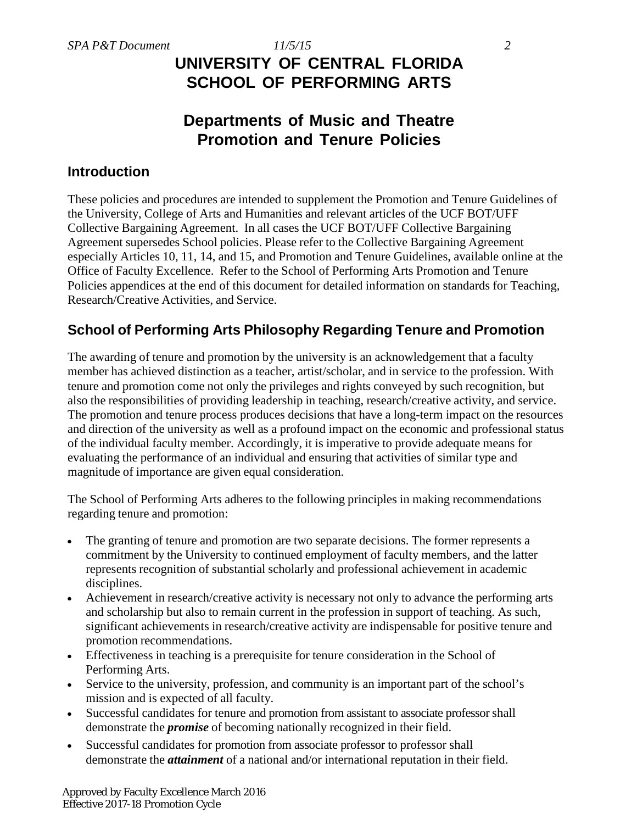# *SPA P&T Document 11/5/15 2* **UNIVERSITY OF CENTRAL FLORIDA SCHOOL OF PERFORMING ARTS**

# **Departments of Music and Theatre Promotion and Tenure Policies**

## **Introduction**

These policies and procedures are intended to supplement the Promotion and Tenure Guidelines of the University, College of Arts and Humanities and relevant articles of the UCF BOT/UFF Collective Bargaining Agreement. In all cases the UCF BOT/UFF Collective Bargaining Agreement supersedes School policies. Please refer to the Collective Bargaining Agreement especially Articles 10, 11, 14, and 15, and Promotion and Tenure Guidelines, available online at the Office of Faculty Excellence. Refer to the School of Performing Arts Promotion and Tenure Policies appendices at the end of this document for detailed information on standards for Teaching, Research/Creative Activities, and Service.

# **School of Performing Arts Philosophy Regarding Tenure and Promotion**

The awarding of tenure and promotion by the university is an acknowledgement that a faculty member has achieved distinction as a teacher, artist/scholar, and in service to the profession. With tenure and promotion come not only the privileges and rights conveyed by such recognition, but also the responsibilities of providing leadership in teaching, research/creative activity, and service. The promotion and tenure process produces decisions that have a long-term impact on the resources and direction of the university as well as a profound impact on the economic and professional status of the individual faculty member. Accordingly, it is imperative to provide adequate means for evaluating the performance of an individual and ensuring that activities of similar type and magnitude of importance are given equal consideration.

The School of Performing Arts adheres to the following principles in making recommendations regarding tenure and promotion:

- The granting of tenure and promotion are two separate decisions. The former represents a commitment by the University to continued employment of faculty members, and the latter represents recognition of substantial scholarly and professional achievement in academic disciplines.
- Achievement in research/creative activity is necessary not only to advance the performing arts and scholarship but also to remain current in the profession in support of teaching. As such, significant achievements in research/creative activity are indispensable for positive tenure and promotion recommendations.
- Effectiveness in teaching is a prerequisite for tenure consideration in the School of Performing Arts.
- Service to the university, profession, and community is an important part of the school's mission and is expected of all faculty.
- Successful candidates for tenure and promotion from assistant to associate professor shall demonstrate the *promise* of becoming nationally recognized in their field.
- Successful candidates for promotion from associate professor to professor shall demonstrate the *attainment* of a national and/or international reputation in their field.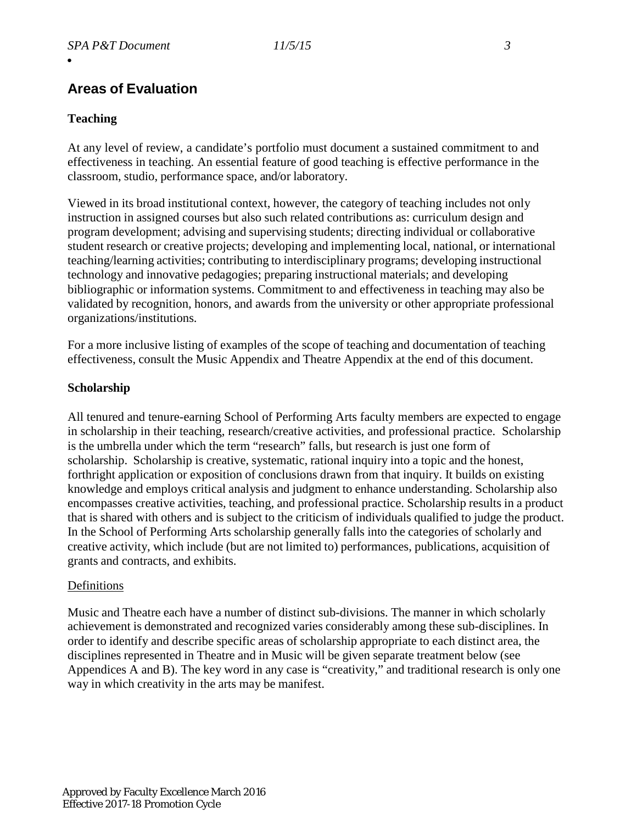# **Areas of Evaluation**

#### **Teaching**

At any level of review, a candidate's portfolio must document a sustained commitment to and effectiveness in teaching. An essential feature of good teaching is effective performance in the classroom, studio, performance space, and/or laboratory.

Viewed in its broad institutional context, however, the category of teaching includes not only instruction in assigned courses but also such related contributions as: curriculum design and program development; advising and supervising students; directing individual or collaborative student research or creative projects; developing and implementing local, national, or international teaching/learning activities; contributing to interdisciplinary programs; developing instructional technology and innovative pedagogies; preparing instructional materials; and developing bibliographic or information systems. Commitment to and effectiveness in teaching may also be validated by recognition, honors, and awards from the university or other appropriate professional organizations/institutions.

For a more inclusive listing of examples of the scope of teaching and documentation of teaching effectiveness, consult the Music Appendix and Theatre Appendix at the end of this document.

#### **Scholarship**

All tenured and tenure-earning School of Performing Arts faculty members are expected to engage in scholarship in their teaching, research/creative activities, and professional practice. Scholarship is the umbrella under which the term "research" falls, but research is just one form of scholarship. Scholarship is creative, systematic, rational inquiry into a topic and the honest, forthright application or exposition of conclusions drawn from that inquiry. It builds on existing knowledge and employs critical analysis and judgment to enhance understanding. Scholarship also encompasses creative activities, teaching, and professional practice. Scholarship results in a product that is shared with others and is subject to the criticism of individuals qualified to judge the product. In the School of Performing Arts scholarship generally falls into the categories of scholarly and creative activity, which include (but are not limited to) performances, publications, acquisition of grants and contracts, and exhibits.

#### Definitions

Music and Theatre each have a number of distinct sub-divisions. The manner in which scholarly achievement is demonstrated and recognized varies considerably among these sub-disciplines. In order to identify and describe specific areas of scholarship appropriate to each distinct area, the disciplines represented in Theatre and in Music will be given separate treatment below (see Appendices A and B). The key word in any case is "creativity," and traditional research is only one way in which creativity in the arts may be manifest.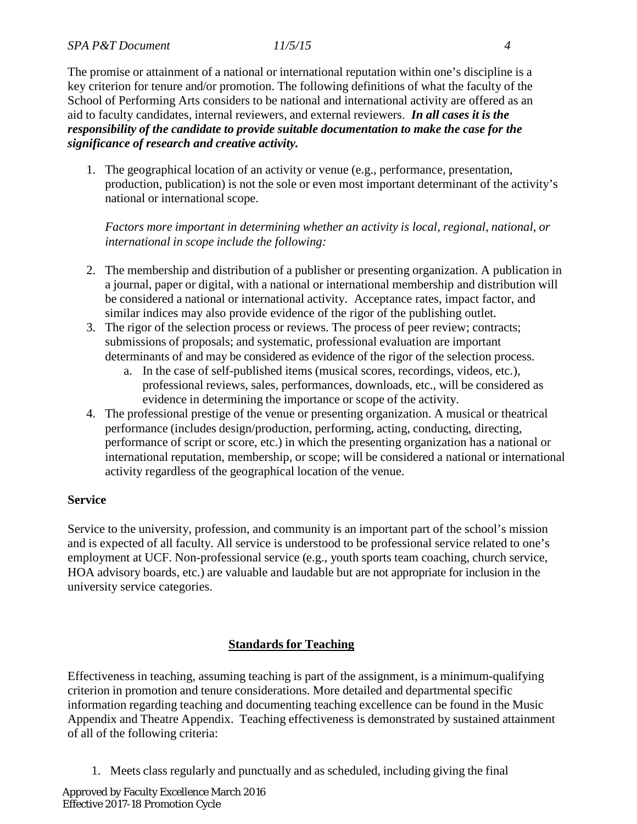The promise or attainment of a national or international reputation within one's discipline is a key criterion for tenure and/or promotion. The following definitions of what the faculty of the School of Performing Arts considers to be national and international activity are offered as an aid to faculty candidates, internal reviewers, and external reviewers. *In all cases it is the responsibility of the candidate to provide suitable documentation to make the case for the significance of research and creative activity.*

1. The geographical location of an activity or venue (e.g., performance, presentation, production, publication) is not the sole or even most important determinant of the activity's national or international scope.

*Factors more important in determining whether an activity is local, regional, national, or international in scope include the following:*

- 2. The membership and distribution of a publisher or presenting organization. A publication in a journal, paper or digital, with a national or international membership and distribution will be considered a national or international activity. Acceptance rates, impact factor, and similar indices may also provide evidence of the rigor of the publishing outlet.
- 3. The rigor of the selection process or reviews. The process of peer review; contracts; submissions of proposals; and systematic, professional evaluation are important determinants of and may be considered as evidence of the rigor of the selection process.
	- a. In the case of self-published items (musical scores, recordings, videos, etc.), professional reviews, sales, performances, downloads, etc., will be considered as evidence in determining the importance or scope of the activity.
- 4. The professional prestige of the venue or presenting organization. A musical or theatrical performance (includes design/production, performing, acting, conducting, directing, performance of script or score, etc.) in which the presenting organization has a national or international reputation, membership, or scope; will be considered a national or international activity regardless of the geographical location of the venue.

#### **Service**

Service to the university, profession, and community is an important part of the school's mission and is expected of all faculty. All service is understood to be professional service related to one's employment at UCF. Non-professional service (e.g., youth sports team coaching, church service, HOA advisory boards, etc.) are valuable and laudable but are not appropriate for inclusion in the university service categories.

### **Standards for Teaching**

Effectiveness in teaching, assuming teaching is part of the assignment, is a minimum-qualifying criterion in promotion and tenure considerations. More detailed and departmental specific information regarding teaching and documenting teaching excellence can be found in the Music Appendix and Theatre Appendix. Teaching effectiveness is demonstrated by sustained attainment of all of the following criteria:

1. Meets class regularly and punctually and as scheduled, including giving the final

Approved by Faculty Excellence March 2016 Effective 2017-18 Promotion Cycle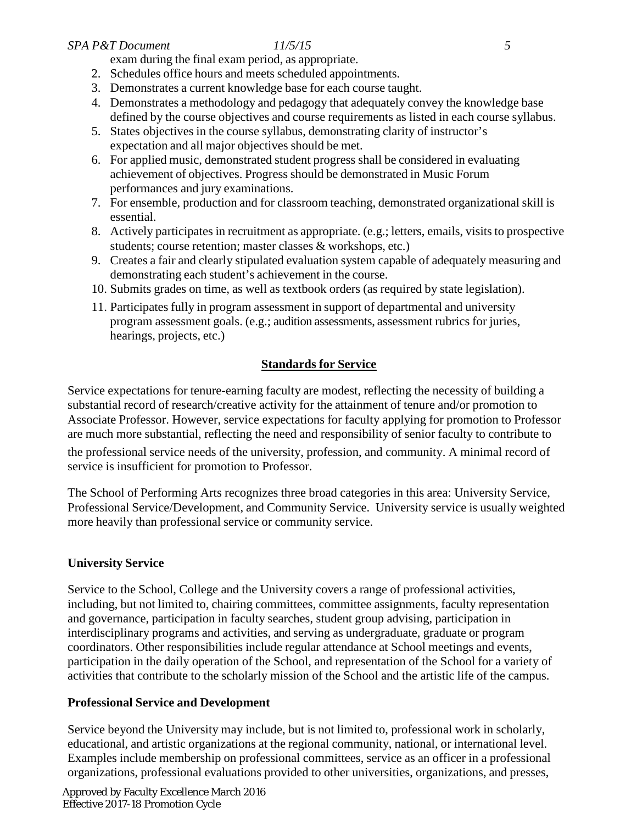#### *SPA P&T Document 11/5/15 5*

exam during the final exam period, as appropriate.

- 2. Schedules office hours and meets scheduled appointments.
- 3. Demonstrates a current knowledge base for each course taught.
- 4. Demonstrates a methodology and pedagogy that adequately convey the knowledge base defined by the course objectives and course requirements as listed in each course syllabus.
- 5. States objectives in the course syllabus, demonstrating clarity of instructor's expectation and all major objectives should be met.
- 6. For applied music, demonstrated student progress shall be considered in evaluating achievement of objectives. Progress should be demonstrated in Music Forum performances and jury examinations.
- 7. For ensemble, production and for classroom teaching, demonstrated organizational skill is essential.
- 8. Actively participates in recruitment as appropriate. (e.g.; letters, emails, visits to prospective students; course retention; master classes & workshops, etc.)
- 9. Creates a fair and clearly stipulated evaluation system capable of adequately measuring and demonstrating each student's achievement in the course.
- 10. Submits grades on time, as well as textbook orders (as required by state legislation).
- 11. Participates fully in program assessment in support of departmental and university program assessment goals. (e.g.; audition assessments, assessment rubrics for juries, hearings, projects, etc.)

### **Standards for Service**

Service expectations for tenure-earning faculty are modest, reflecting the necessity of building a substantial record of research/creative activity for the attainment of tenure and/or promotion to Associate Professor. However, service expectations for faculty applying for promotion to Professor are much more substantial, reflecting the need and responsibility of senior faculty to contribute to

the professional service needs of the university, profession, and community. A minimal record of service is insufficient for promotion to Professor.

The School of Performing Arts recognizes three broad categories in this area: University Service, Professional Service/Development, and Community Service. University service is usually weighted more heavily than professional service or community service.

### **University Service**

Service to the School, College and the University covers a range of professional activities, including, but not limited to, chairing committees, committee assignments, faculty representation and governance, participation in faculty searches, student group advising, participation in interdisciplinary programs and activities, and serving as undergraduate, graduate or program coordinators. Other responsibilities include regular attendance at School meetings and events, participation in the daily operation of the School, and representation of the School for a variety of activities that contribute to the scholarly mission of the School and the artistic life of the campus.

### **Professional Service and Development**

Service beyond the University may include, but is not limited to, professional work in scholarly, educational, and artistic organizations at the regional community, national, or international level. Examples include membership on professional committees, service as an officer in a professional organizations, professional evaluations provided to other universities, organizations, and presses,

Approved by Faculty Excellence March 2016 Effective 2017-18 Promotion Cycle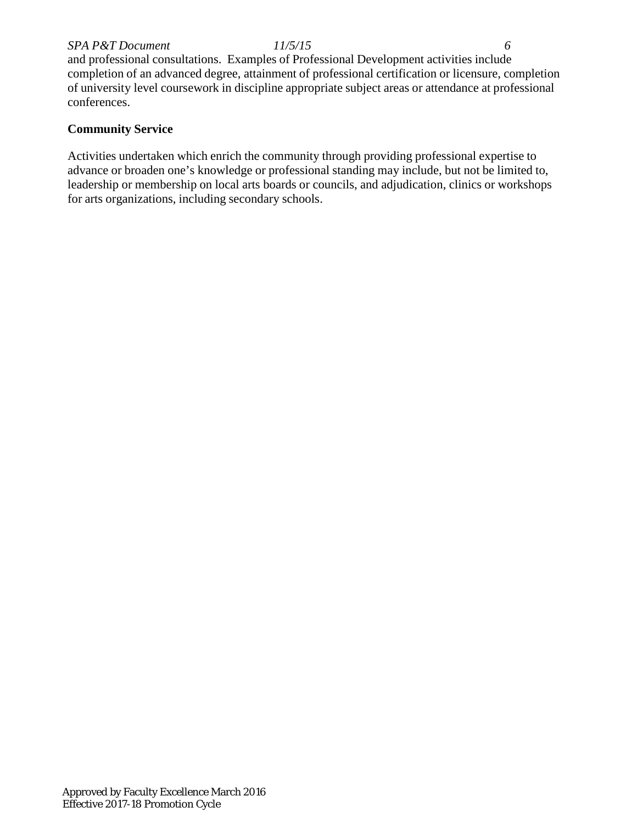#### *SPA P&T Document 11/5/15 6*

and professional consultations. Examples of Professional Development activities include completion of an advanced degree, attainment of professional certification or licensure, completion of university level coursework in discipline appropriate subject areas or attendance at professional conferences.

#### **Community Service**

Activities undertaken which enrich the community through providing professional expertise to advance or broaden one's knowledge or professional standing may include, but not be limited to, leadership or membership on local arts boards or councils, and adjudication, clinics or workshops for arts organizations, including secondary schools.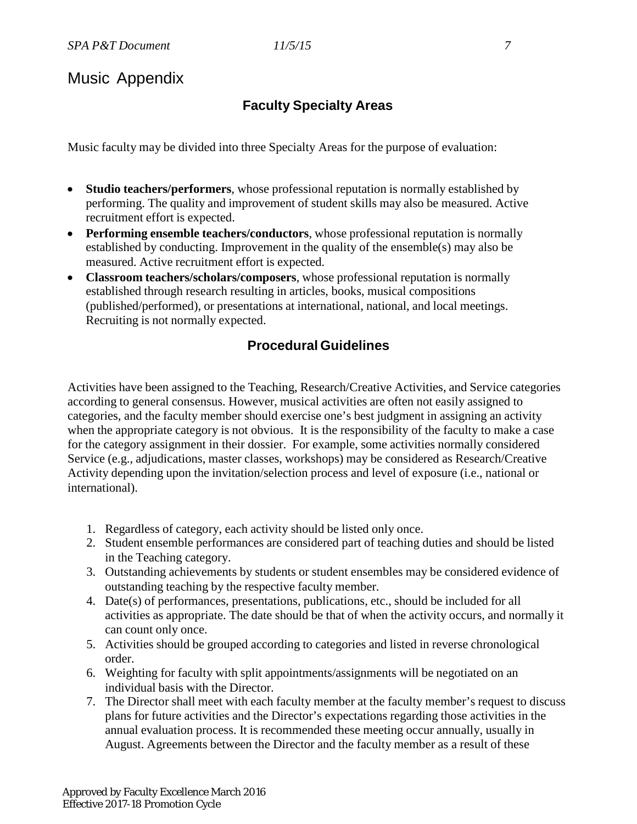# Music Appendix

# **Faculty Specialty Areas**

Music faculty may be divided into three Specialty Areas for the purpose of evaluation:

- **Studio teachers/performers**, whose professional reputation is normally established by performing. The quality and improvement of student skills may also be measured. Active recruitment effort is expected.
- **Performing ensemble teachers/conductors**, whose professional reputation is normally established by conducting. Improvement in the quality of the ensemble(s) may also be measured. Active recruitment effort is expected.
- **Classroom teachers/scholars/composers**, whose professional reputation is normally established through research resulting in articles, books, musical compositions (published/performed), or presentations at international, national, and local meetings. Recruiting is not normally expected.

# **Procedural Guidelines**

Activities have been assigned to the Teaching, Research/Creative Activities, and Service categories according to general consensus. However, musical activities are often not easily assigned to categories, and the faculty member should exercise one's best judgment in assigning an activity when the appropriate category is not obvious. It is the responsibility of the faculty to make a case for the category assignment in their dossier. For example, some activities normally considered Service (e.g., adjudications, master classes, workshops) may be considered as Research/Creative Activity depending upon the invitation/selection process and level of exposure (i.e., national or international).

- 1. Regardless of category, each activity should be listed only once.
- 2. Student ensemble performances are considered part of teaching duties and should be listed in the Teaching category.
- 3. Outstanding achievements by students or student ensembles may be considered evidence of outstanding teaching by the respective faculty member.
- 4. Date(s) of performances, presentations, publications, etc., should be included for all activities as appropriate. The date should be that of when the activity occurs, and normally it can count only once.
- 5. Activities should be grouped according to categories and listed in reverse chronological order.
- 6. Weighting for faculty with split appointments/assignments will be negotiated on an individual basis with the Director.
- 7. The Director shall meet with each faculty member at the faculty member's request to discuss plans for future activities and the Director's expectations regarding those activities in the annual evaluation process. It is recommended these meeting occur annually, usually in August. Agreements between the Director and the faculty member as a result of these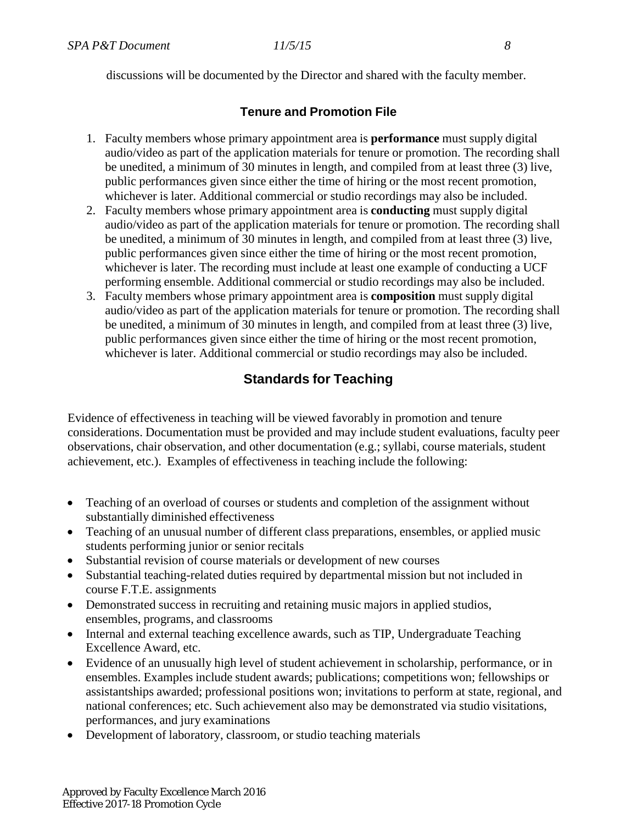discussions will be documented by the Director and shared with the faculty member.

### **Tenure and Promotion File**

- 1. Faculty members whose primary appointment area is **performance** must supply digital audio/video as part of the application materials for tenure or promotion. The recording shall be unedited, a minimum of 30 minutes in length, and compiled from at least three (3) live, public performances given since either the time of hiring or the most recent promotion, whichever is later. Additional commercial or studio recordings may also be included.
- 2. Faculty members whose primary appointment area is **conducting** must supply digital audio/video as part of the application materials for tenure or promotion. The recording shall be unedited, a minimum of 30 minutes in length, and compiled from at least three (3) live, public performances given since either the time of hiring or the most recent promotion, whichever is later. The recording must include at least one example of conducting a UCF performing ensemble. Additional commercial or studio recordings may also be included.
- 3. Faculty members whose primary appointment area is **composition** must supply digital audio/video as part of the application materials for tenure or promotion. The recording shall be unedited, a minimum of 30 minutes in length, and compiled from at least three (3) live, public performances given since either the time of hiring or the most recent promotion, whichever is later. Additional commercial or studio recordings may also be included.

# **Standards for Teaching**

Evidence of effectiveness in teaching will be viewed favorably in promotion and tenure considerations. Documentation must be provided and may include student evaluations, faculty peer observations, chair observation, and other documentation (e.g.; syllabi, course materials, student achievement, etc.). Examples of effectiveness in teaching include the following:

- Teaching of an overload of courses or students and completion of the assignment without substantially diminished effectiveness
- Teaching of an unusual number of different class preparations, ensembles, or applied music students performing junior or senior recitals
- Substantial revision of course materials or development of new courses
- Substantial teaching-related duties required by departmental mission but not included in course F.T.E. assignments
- Demonstrated success in recruiting and retaining music majors in applied studios, ensembles, programs, and classrooms
- Internal and external teaching excellence awards, such as TIP, Undergraduate Teaching Excellence Award, etc.
- Evidence of an unusually high level of student achievement in scholarship, performance, or in ensembles. Examples include student awards; publications; competitions won; fellowships or assistantships awarded; professional positions won; invitations to perform at state, regional, and national conferences; etc. Such achievement also may be demonstrated via studio visitations, performances, and jury examinations
- Development of laboratory, classroom, or studio teaching materials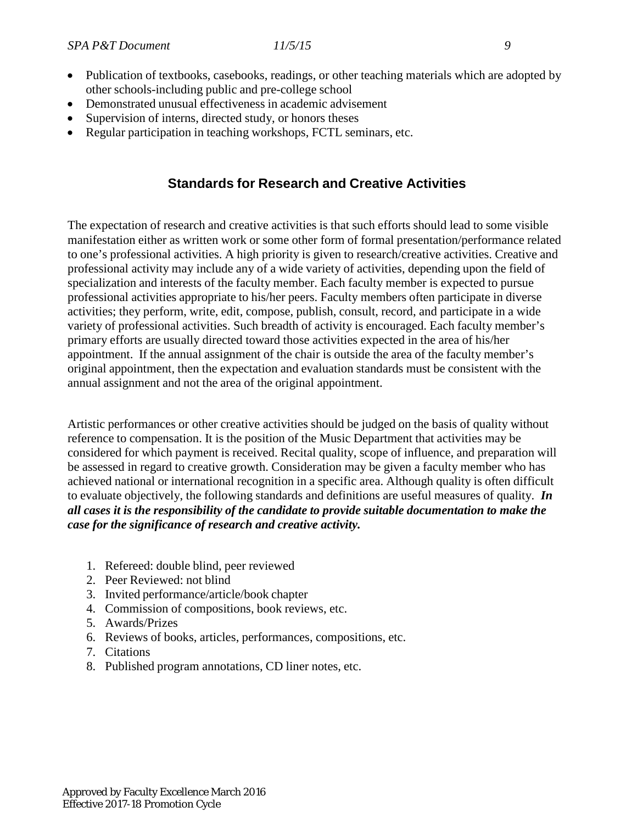- Publication of textbooks, casebooks, readings, or other teaching materials which are adopted by other schools-including public and pre-college school
- Demonstrated unusual effectiveness in academic advisement
- Supervision of interns, directed study, or honors theses
- Regular participation in teaching workshops, FCTL seminars, etc.

## **Standards for Research and Creative Activities**

The expectation of research and creative activities is that such efforts should lead to some visible manifestation either as written work or some other form of formal presentation/performance related to one's professional activities. A high priority is given to research/creative activities. Creative and professional activity may include any of a wide variety of activities, depending upon the field of specialization and interests of the faculty member. Each faculty member is expected to pursue professional activities appropriate to his/her peers. Faculty members often participate in diverse activities; they perform, write, edit, compose, publish, consult, record, and participate in a wide variety of professional activities. Such breadth of activity is encouraged. Each faculty member's primary efforts are usually directed toward those activities expected in the area of his/her appointment. If the annual assignment of the chair is outside the area of the faculty member's original appointment, then the expectation and evaluation standards must be consistent with the annual assignment and not the area of the original appointment.

Artistic performances or other creative activities should be judged on the basis of quality without reference to compensation. It is the position of the Music Department that activities may be considered for which payment is received. Recital quality, scope of influence, and preparation will be assessed in regard to creative growth. Consideration may be given a faculty member who has achieved national or international recognition in a specific area. Although quality is often difficult to evaluate objectively, the following standards and definitions are useful measures of quality. *In all cases it is the responsibility of the candidate to provide suitable documentation to make the case for the significance of research and creative activity.*

- 1. Refereed: double blind, peer reviewed
- 2. Peer Reviewed: not blind
- 3. Invited performance/article/book chapter
- 4. Commission of compositions, book reviews, etc.
- 5. Awards/Prizes
- 6. Reviews of books, articles, performances, compositions, etc.
- 7. Citations
- 8. Published program annotations, CD liner notes, etc.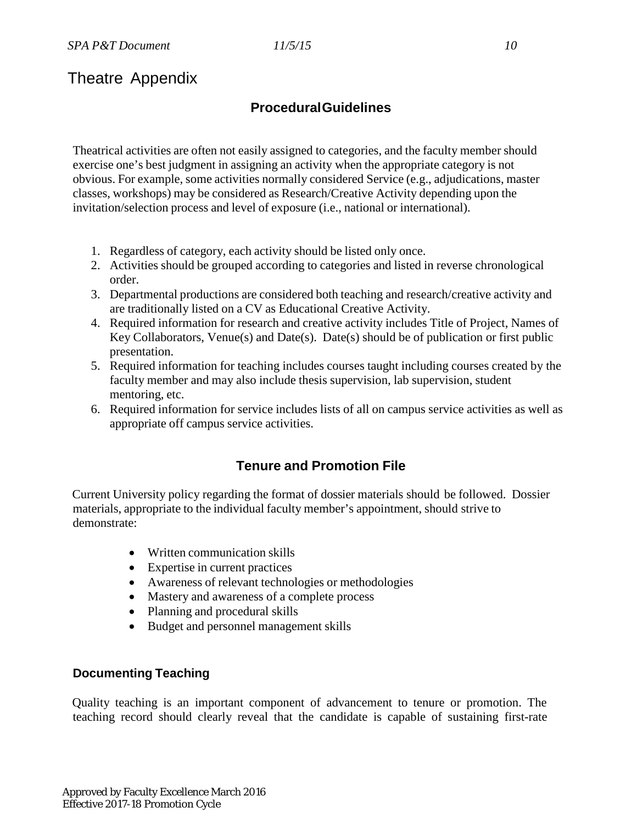# Theatre Appendix

# **ProceduralGuidelines**

Theatrical activities are often not easily assigned to categories, and the faculty member should exercise one's best judgment in assigning an activity when the appropriate category is not obvious. For example, some activities normally considered Service (e.g., adjudications, master classes, workshops) may be considered as Research/Creative Activity depending upon the invitation/selection process and level of exposure (i.e., national or international).

- 1. Regardless of category, each activity should be listed only once.
- 2. Activities should be grouped according to categories and listed in reverse chronological order.
- 3. Departmental productions are considered both teaching and research/creative activity and are traditionally listed on a CV as Educational Creative Activity.
- 4. Required information for research and creative activity includes Title of Project, Names of Key Collaborators, Venue(s) and Date(s). Date(s) should be of publication or first public presentation.
- 5. Required information for teaching includes courses taught including courses created by the faculty member and may also include thesis supervision, lab supervision, student mentoring, etc.
- 6. Required information for service includes lists of all on campus service activities as well as appropriate off campus service activities.

# **Tenure and Promotion File**

Current University policy regarding the format of dossier materials should be followed. Dossier materials, appropriate to the individual faculty member's appointment, should strive to demonstrate:

- Written communication skills
- Expertise in current practices
- Awareness of relevant technologies or methodologies
- Mastery and awareness of a complete process
- Planning and procedural skills
- Budget and personnel management skills

## **Documenting Teaching**

Quality teaching is an important component of advancement to tenure or promotion. The teaching record should clearly reveal that the candidate is capable of sustaining first-rate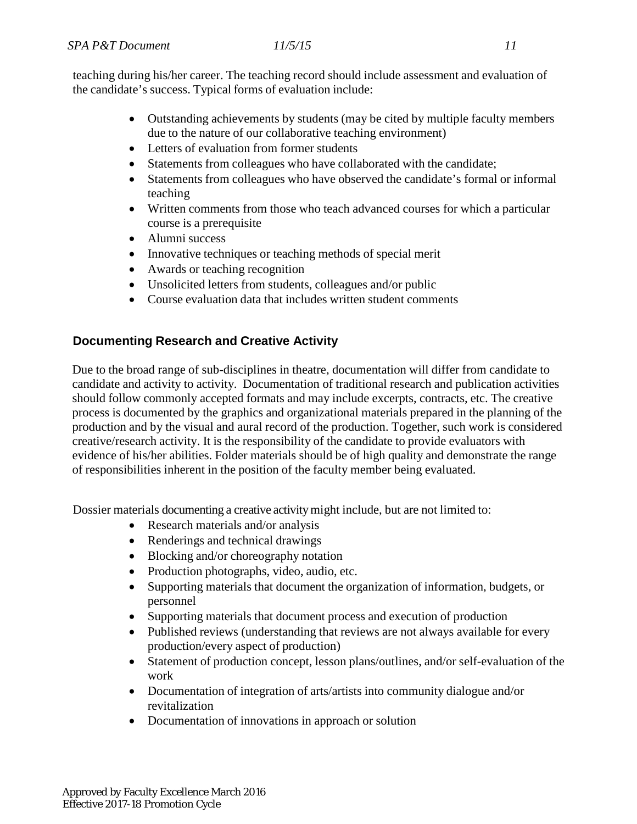teaching during his/her career. The teaching record should include assessment and evaluation of the candidate's success. Typical forms of evaluation include:

- Outstanding achievements by students (may be cited by multiple faculty members due to the nature of our collaborative teaching environment)
- Letters of evaluation from former students
- Statements from colleagues who have collaborated with the candidate;
- Statements from colleagues who have observed the candidate's formal or informal teaching
- Written comments from those who teach advanced courses for which a particular course is a prerequisite
- Alumni success
- Innovative techniques or teaching methods of special merit
- Awards or teaching recognition
- Unsolicited letters from students, colleagues and/or public
- Course evaluation data that includes written student comments

### **Documenting Research and Creative Activity**

Due to the broad range of sub-disciplines in theatre, documentation will differ from candidate to candidate and activity to activity. Documentation of traditional research and publication activities should follow commonly accepted formats and may include excerpts, contracts, etc. The creative process is documented by the graphics and organizational materials prepared in the planning of the production and by the visual and aural record of the production. Together, such work is considered creative/research activity. It is the responsibility of the candidate to provide evaluators with evidence of his/her abilities. Folder materials should be of high quality and demonstrate the range of responsibilities inherent in the position of the faculty member being evaluated.

Dossier materials documenting a creative activitymight include, but are not limited to:

- Research materials and/or analysis
- Renderings and technical drawings
- Blocking and/or choreography notation
- Production photographs, video, audio, etc.
- Supporting materials that document the organization of information, budgets, or personnel
- Supporting materials that document process and execution of production
- Published reviews (understanding that reviews are not always available for every production/every aspect of production)
- Statement of production concept, lesson plans/outlines, and/or self-evaluation of the work
- Documentation of integration of arts/artists into community dialogue and/or revitalization
- Documentation of innovations in approach or solution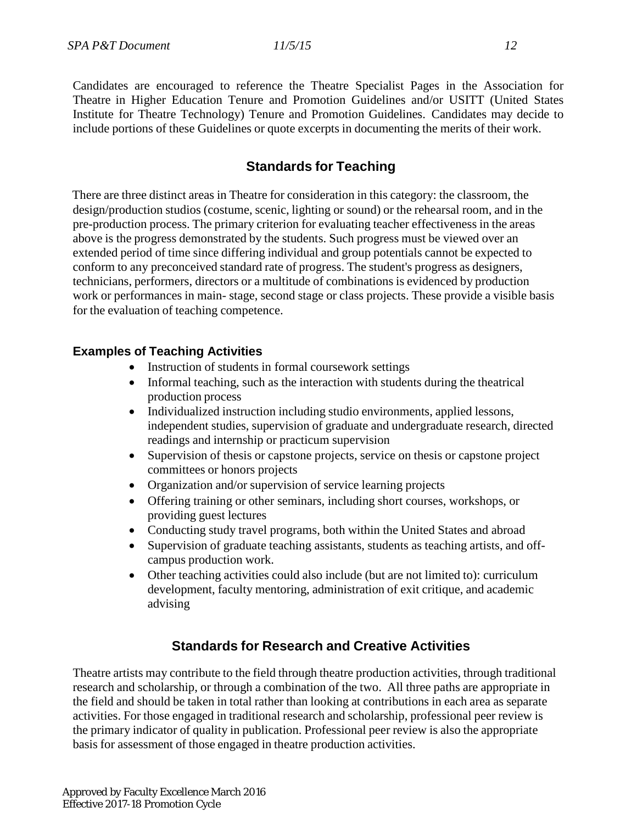Candidates are encouraged to reference the Theatre Specialist Pages in the Association for Theatre in Higher Education Tenure and Promotion Guidelines and/or USITT (United States Institute for Theatre Technology) Tenure and Promotion Guidelines. Candidates may decide to include portions of these Guidelines or quote excerpts in documenting the merits of their work.

# **Standards for Teaching**

There are three distinct areas in Theatre for consideration in this category: the classroom, the design/production studios (costume, scenic, lighting or sound) or the rehearsal room, and in the pre-production process. The primary criterion for evaluating teacher effectiveness in the areas above is the progress demonstrated by the students. Such progress must be viewed over an extended period of time since differing individual and group potentials cannot be expected to conform to any preconceived standard rate of progress. The student's progress as designers, technicians, performers, directors or a multitude of combinations is evidenced by production work or performances in main- stage, second stage or class projects. These provide a visible basis for the evaluation of teaching competence.

### **Examples of Teaching Activities**

- Instruction of students in formal coursework settings
- Informal teaching, such as the interaction with students during the theatrical production process
- Individualized instruction including studio environments, applied lessons, independent studies, supervision of graduate and undergraduate research, directed readings and internship or practicum supervision
- Supervision of thesis or capstone projects, service on thesis or capstone project committees or honors projects
- Organization and/or supervision of service learning projects
- Offering training or other seminars, including short courses, workshops, or providing guest lectures
- Conducting study travel programs, both within the United States and abroad
- Supervision of graduate teaching assistants, students as teaching artists, and offcampus production work.
- Other teaching activities could also include (but are not limited to): curriculum development, faculty mentoring, administration of exit critique, and academic advising

## **Standards for Research and Creative Activities**

Theatre artists may contribute to the field through theatre production activities, through traditional research and scholarship, or through a combination of the two. All three paths are appropriate in the field and should be taken in total rather than looking at contributions in each area as separate activities. For those engaged in traditional research and scholarship, professional peer review is the primary indicator of quality in publication. Professional peer review is also the appropriate basis for assessment of those engaged in theatre production activities.